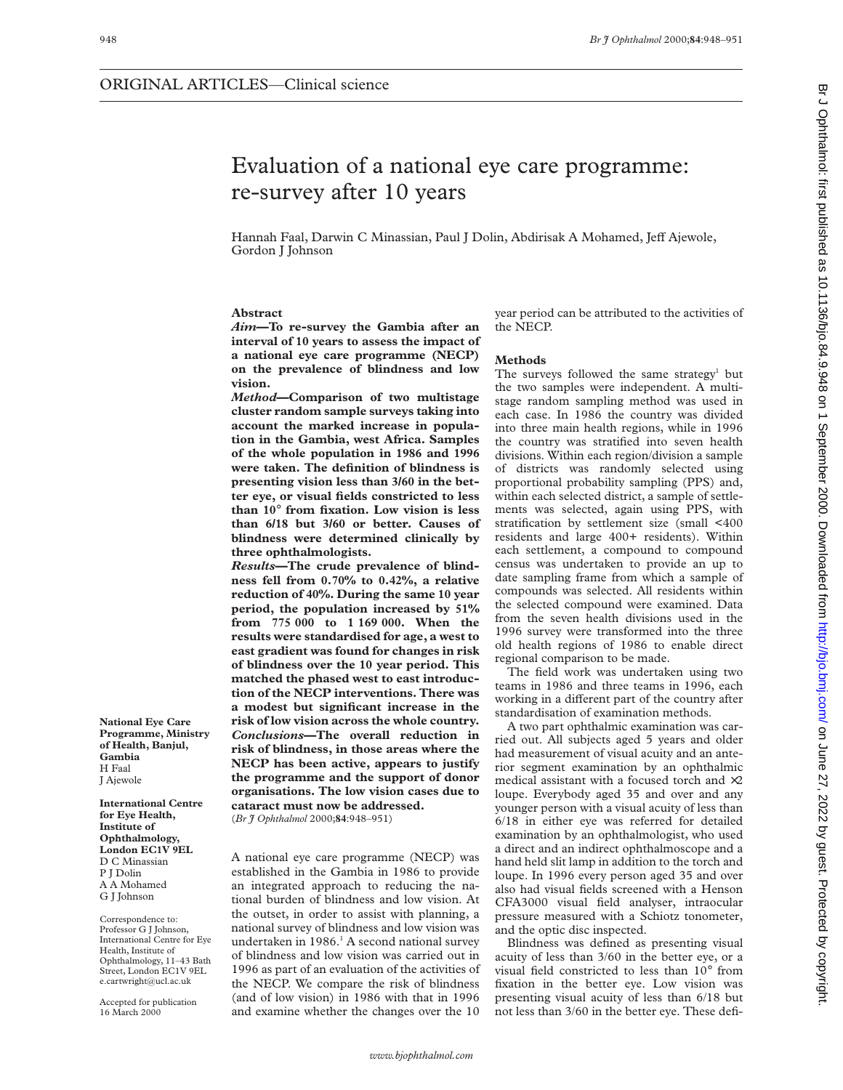# Evaluation of a national eye care programme: re-survey after 10 years

Hannah Faal, Darwin C Minassian, Paul J Dolin, Abdirisak A Mohamed, Jeff Ajewole, Gordon J Johnson

## **Abstract**

*Aim***—To re-survey the Gambia after an interval of 10 years to assess the impact of a national eye care programme (NECP) on the prevalence of blindness and low vision.**

*Method***—Comparison of two multistage cluster random sample surveys taking into account the marked increase in population in the Gambia, west Africa. Samples of the whole population in 1986 and 1996 were taken. The definition of blindness is presenting vision less than 3/60 in the better eye, or visual fields constricted to less than 10**° **from fixation. Low vision is less than 6/18 but 3/60 or better. Causes of blindness were determined clinically by three ophthalmologists.**

*Results***—The crude prevalence of blindness fell from 0.70% to 0.42%, a relative reduction of 40%. During the same 10 year period, the population increased by 51% from 775 000 to 1 169 000. When the results were standardised for age, a west to east gradient was found for changes in risk of blindness over the 10 year period. This matched the phased west to east introduction of the NECP interventions. There was a modest but significant increase in the risk of low vision across the whole country.** *Conclusions***—The overall reduction in risk of blindness, in those areas where the NECP has been active, appears to justify the programme and the support of donor organisations. The low vision cases due to cataract must now be addressed.** (*Br J Ophthalmol* 2000;**84**:948–951)

A national eye care programme (NECP) was established in the Gambia in 1986 to provide an integrated approach to reducing the national burden of blindness and low vision. At the outset, in order to assist with planning, a national survey of blindness and low vision was undertaken in  $1986<sup>1</sup>$  A second national survey of blindness and low vision was carried out in 1996 as part of an evaluation of the activities of the NECP. We compare the risk of blindness (and of low vision) in 1986 with that in 1996

and examine whether the changes over the 10

year period can be attributed to the activities of the NECP.

## **Methods**

The surveys followed the same strategy<sup>1</sup> but the two samples were independent. A multistage random sampling method was used in each case. In 1986 the country was divided into three main health regions, while in 1996 the country was stratified into seven health divisions. Within each region/division a sample of districts was randomly selected using proportional probability sampling (PPS) and, within each selected district, a sample of settlements was selected, again using PPS, with stratification by settlement size (small <400 residents and large 400+ residents). Within each settlement, a compound to compound census was undertaken to provide an up to date sampling frame from which a sample of compounds was selected. All residents within the selected compound were examined. Data from the seven health divisions used in the 1996 survey were transformed into the three old health regions of 1986 to enable direct regional comparison to be made.

The field work was undertaken using two teams in 1986 and three teams in 1996, each working in a different part of the country after standardisation of examination methods.

A two part ophthalmic examination was carried out. All subjects aged 5 years and older had measurement of visual acuity and an anterior segment examination by an ophthalmic medical assistant with a focused torch and ×2 loupe. Everybody aged 35 and over and any younger person with a visual acuity of less than 6/18 in either eye was referred for detailed examination by an ophthalmologist, who used a direct and an indirect ophthalmoscope and a hand held slit lamp in addition to the torch and loupe. In 1996 every person aged 35 and over also had visual fields screened with a Henson CFA3000 visual field analyser, intraocular pressure measured with a Schiotz tonometer, and the optic disc inspected.

Blindness was defined as presenting visual acuity of less than 3/60 in the better eye, or a visual field constricted to less than 10° from fixation in the better eye. Low vision was presenting visual acuity of less than 6/18 but not less than 3/60 in the better eye. These defi-

**National Eye Care Programme, Ministry of Health, Banjul, Gambia** H Faal J Ajewole

**International Centre for Eye Health, Institute of Ophthalmology, London EC1V 9EL** D C Minassian P J Dolin A A Mohamed G J Johnson

Correspondence to: Professor G J Johnson, International Centre for Eye Health, Institute of Ophthalmology, 11–43 Bath Street, London EC1V 9EL e.cartwright@ucl.ac.uk

Accepted for publication 16 March 2000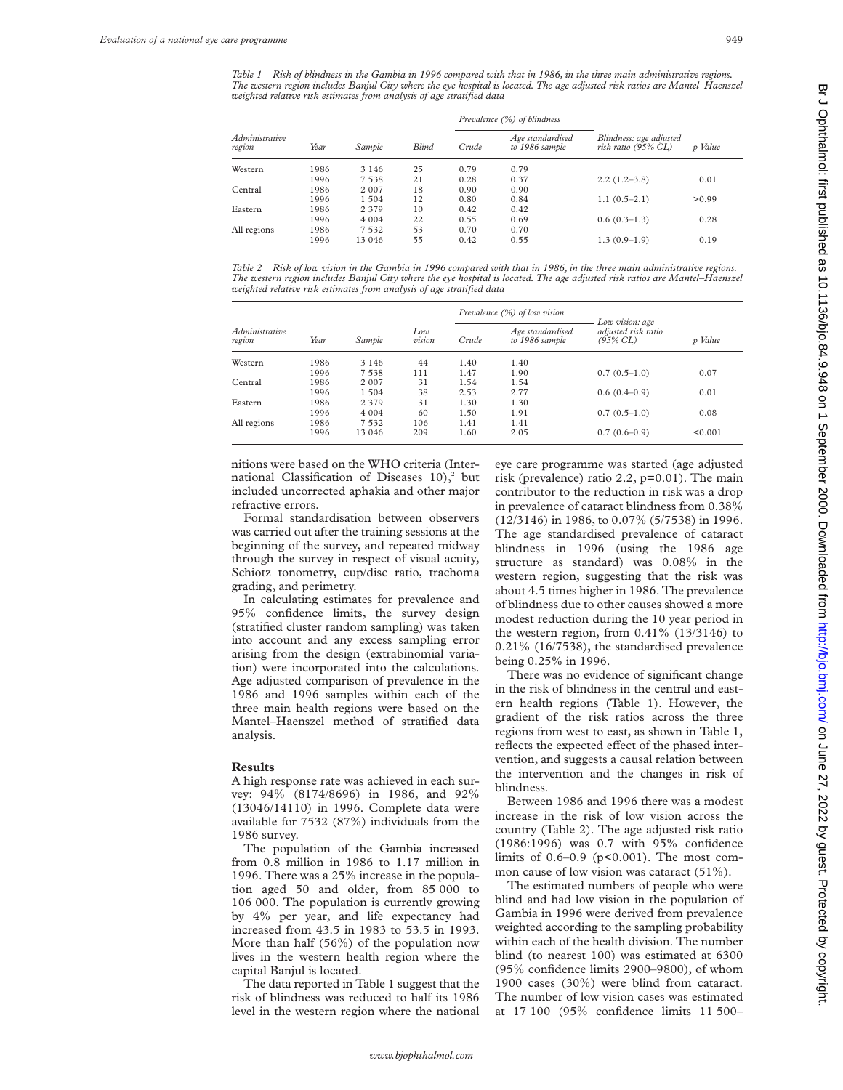*Table 1 Risk of blindness in the Gambia in 1996 compared with that in 1986, in the three main administrative regions. The western region includes Banjul City where the eye hospital is located. The age adjusted risk ratios are Mantel–Haenszel weighted relative risk estimates from analysis of age stratified data*

|                          |      |         |              | Prevalence (%) of blindness |                                    |                                                |         |
|--------------------------|------|---------|--------------|-----------------------------|------------------------------------|------------------------------------------------|---------|
| Administrative<br>region | Year | Sample  | <b>Blind</b> | Crude                       | Age standardised<br>to 1986 sample | Blindness: age adjusted<br>risk ratio (95% CL) | p Value |
| Western                  | 1986 | 3 1 4 6 | 25           | 0.79                        | 0.79                               |                                                |         |
|                          | 1996 | 7 538   | 21           | 0.28                        | 0.37                               | $2.2(1.2-3.8)$                                 | 0.01    |
| Central                  | 1986 | 2 0 0 7 | 18           | 0.90                        | 0.90                               |                                                |         |
|                          | 1996 | 1 504   | 12           | 0.80                        | 0.84                               | $1.1(0.5-2.1)$                                 | > 0.99  |
| Eastern                  | 1986 | 2 3 7 9 | 10           | 0.42                        | 0.42                               |                                                |         |
|                          | 1996 | 4 0 0 4 | 22           | 0.55                        | 0.69                               | $0.6(0.3-1.3)$                                 | 0.28    |
| All regions              | 1986 | 7 5 3 2 | 53           | 0.70                        | 0.70                               |                                                |         |
|                          | 1996 | 13 046  | 55           | 0.42                        | 0.55                               | $1.3(0.9-1.9)$                                 | 0.19    |

*Table 2 Risk of low vision in the Gambia in 1996 compared with that in 1986, in the three main administrative regions. The western region includes Banjul City where the eye hospital is located. The age adjusted risk ratios are Mantel–Haenszel weighted relative risk estimates from analysis of age stratified data*

| <i>Administrative</i><br>region | Year | Sample  | Low<br>vision | Prevalence $(%)$ of low vision |                                    |                                                    |         |
|---------------------------------|------|---------|---------------|--------------------------------|------------------------------------|----------------------------------------------------|---------|
|                                 |      |         |               | Crude                          | Age standardised<br>to 1986 sample | Low vision: age<br>adjusted risk ratio<br>(95% CL) | p Value |
| Western                         | 1986 | 3 1 4 6 | 44            | 1.40                           | 1.40                               |                                                    |         |
|                                 | 1996 | 7 538   | 111           | 1.47                           | 1.90                               | $0.7(0.5-1.0)$                                     | 0.07    |
| Central                         | 1986 | 2 007   | 31            | 1.54                           | 1.54                               |                                                    |         |
|                                 | 1996 | 1 504   | 38            | 2.53                           | 2.77                               | $0.6(0.4-0.9)$                                     | 0.01    |
| Eastern                         | 1986 | 2 3 7 9 | 31            | 1.30                           | 1.30                               |                                                    |         |
|                                 | 1996 | 4 0 0 4 | 60            | 1.50                           | 1.91                               | $0.7(0.5-1.0)$                                     | 0.08    |
| All regions                     | 1986 | 7 5 3 2 | 106           | 1.41                           | 1.41                               |                                                    |         |
|                                 | 1996 | 13 046  | 209           | 1.60                           | 2.05                               | $0.7(0.6-0.9)$                                     | < 0.001 |

nitions were based on the WHO criteria (International Classification of Diseases  $10$ ,<sup>2</sup> but included uncorrected aphakia and other major refractive errors.

Formal standardisation between observers was carried out after the training sessions at the beginning of the survey, and repeated midway through the survey in respect of visual acuity, Schiotz tonometry, cup/disc ratio, trachoma grading, and perimetry.

In calculating estimates for prevalence and 95% confidence limits, the survey design (stratified cluster random sampling) was taken into account and any excess sampling error arising from the design (extrabinomial variation) were incorporated into the calculations. Age adjusted comparison of prevalence in the 1986 and 1996 samples within each of the three main health regions were based on the Mantel–Haenszel method of stratified data analysis.

#### **Results**

A high response rate was achieved in each survey: 94% (8174/8696) in 1986, and 92% (13046/14110) in 1996. Complete data were available for 7532 (87%) individuals from the 1986 survey.

The population of the Gambia increased from 0.8 million in 1986 to 1.17 million in 1996. There was a 25% increase in the population aged 50 and older, from 85 000 to 106 000. The population is currently growing by 4% per year, and life expectancy had increased from 43.5 in 1983 to 53.5 in 1993. More than half (56%) of the population now lives in the western health region where the capital Banjul is located.

The data reported in Table 1 suggest that the risk of blindness was reduced to half its 1986 level in the western region where the national eye care programme was started (age adjusted risk (prevalence) ratio 2.2, p=0.01). The main contributor to the reduction in risk was a drop in prevalence of cataract blindness from 0.38% (12/3146) in 1986, to 0.07% (5/7538) in 1996. The age standardised prevalence of cataract blindness in 1996 (using the 1986 age structure as standard) was 0.08% in the western region, suggesting that the risk was about 4.5 times higher in 1986. The prevalence of blindness due to other causes showed a more modest reduction during the 10 year period in the western region, from 0.41% (13/3146) to 0.21% (16/7538), the standardised prevalence being 0.25% in 1996.

There was no evidence of significant change in the risk of blindness in the central and eastern health regions (Table 1). However, the gradient of the risk ratios across the three regions from west to east, as shown in Table 1, reflects the expected effect of the phased intervention, and suggests a causal relation between the intervention and the changes in risk of blindness.

Between 1986 and 1996 there was a modest increase in the risk of low vision across the country (Table 2). The age adjusted risk ratio (1986:1996) was 0.7 with 95% confidence limits of  $0.6-0.9$  ( $p<0.001$ ). The most common cause of low vision was cataract (51%).

The estimated numbers of people who were blind and had low vision in the population of Gambia in 1996 were derived from prevalence weighted according to the sampling probability within each of the health division. The number blind (to nearest 100) was estimated at 6300 (95% confidence limits 2900–9800), of whom 1900 cases (30%) were blind from cataract. The number of low vision cases was estimated at 17 100 (95% confidence limits 11 500–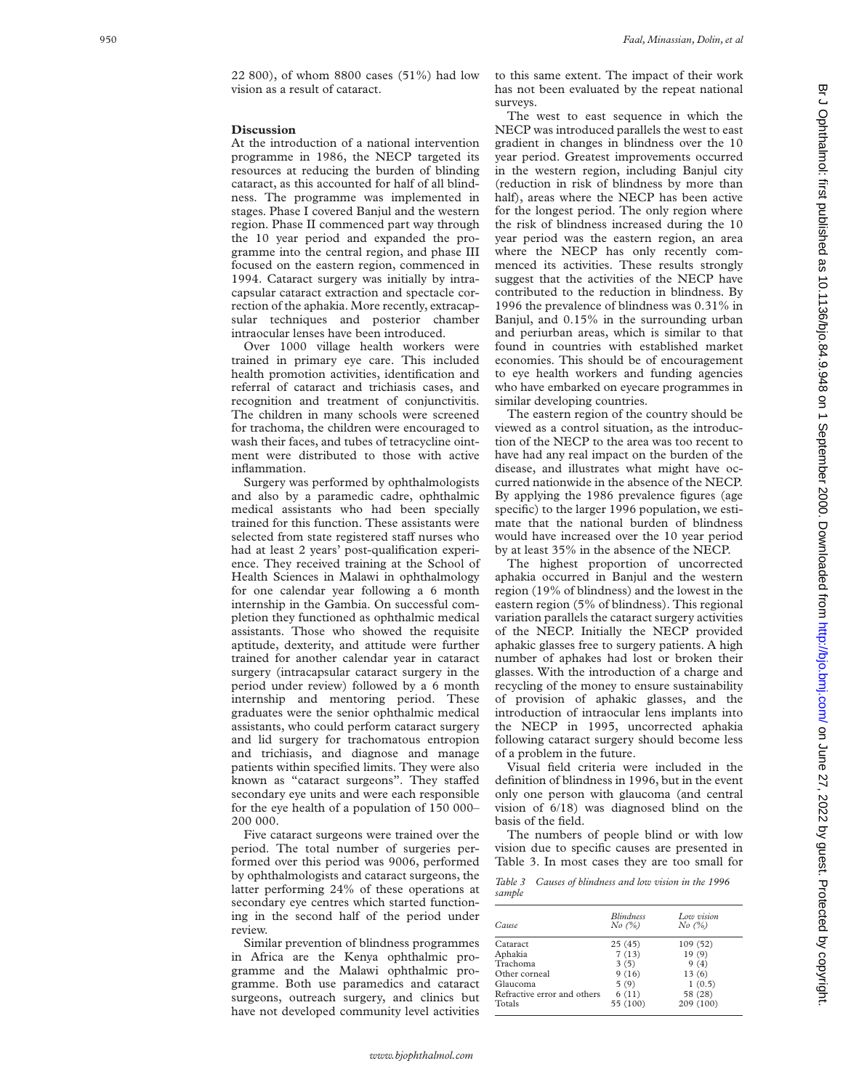### **Discussion**

At the introduction of a national intervention programme in 1986, the NECP targeted its resources at reducing the burden of blinding cataract, as this accounted for half of all blindness. The programme was implemented in stages. Phase I covered Banjul and the western region. Phase II commenced part way through the 10 year period and expanded the programme into the central region, and phase III focused on the eastern region, commenced in 1994. Cataract surgery was initially by intracapsular cataract extraction and spectacle correction of the aphakia. More recently, extracapsular techniques and posterior chamber intraocular lenses have been introduced.

Over 1000 village health workers were trained in primary eye care. This included health promotion activities, identification and referral of cataract and trichiasis cases, and recognition and treatment of conjunctivitis. The children in many schools were screened for trachoma, the children were encouraged to wash their faces, and tubes of tetracycline ointment were distributed to those with active inflammation.

Surgery was performed by ophthalmologists and also by a paramedic cadre, ophthalmic medical assistants who had been specially trained for this function. These assistants were selected from state registered staff nurses who had at least 2 years' post-qualification experience. They received training at the School of Health Sciences in Malawi in ophthalmology for one calendar year following a 6 month internship in the Gambia. On successful completion they functioned as ophthalmic medical assistants. Those who showed the requisite aptitude, dexterity, and attitude were further trained for another calendar year in cataract surgery (intracapsular cataract surgery in the period under review) followed by a 6 month internship and mentoring period. These graduates were the senior ophthalmic medical assistants, who could perform cataract surgery and lid surgery for trachomatous entropion and trichiasis, and diagnose and manage patients within specified limits. They were also known as "cataract surgeons". They staffed secondary eye units and were each responsible for the eye health of a population of 150 000– 200 000.

Five cataract surgeons were trained over the period. The total number of surgeries performed over this period was 9006, performed by ophthalmologists and cataract surgeons, the latter performing 24% of these operations at secondary eye centres which started functioning in the second half of the period under review.

Similar prevention of blindness programmes in Africa are the Kenya ophthalmic programme and the Malawi ophthalmic programme. Both use paramedics and cataract surgeons, outreach surgery, and clinics but have not developed community level activities

The west to east sequence in which the NECP was introduced parallels the west to east gradient in changes in blindness over the 10 year period. Greatest improvements occurred in the western region, including Banjul city (reduction in risk of blindness by more than half), areas where the NECP has been active for the longest period. The only region where the risk of blindness increased during the 10 year period was the eastern region, an area where the NECP has only recently commenced its activities. These results strongly suggest that the activities of the NECP have contributed to the reduction in blindness. By 1996 the prevalence of blindness was 0.31% in Banjul, and 0.15% in the surrounding urban and periurban areas, which is similar to that found in countries with established market economies. This should be of encouragement to eye health workers and funding agencies who have embarked on eyecare programmes in similar developing countries.

The eastern region of the country should be viewed as a control situation, as the introduction of the NECP to the area was too recent to have had any real impact on the burden of the disease, and illustrates what might have occurred nationwide in the absence of the NECP. By applying the 1986 prevalence figures (age specific) to the larger 1996 population, we estimate that the national burden of blindness would have increased over the 10 year period by at least 35% in the absence of the NECP.

The highest proportion of uncorrected aphakia occurred in Banjul and the western region (19% of blindness) and the lowest in the eastern region (5% of blindness). This regional variation parallels the cataract surgery activities of the NECP. Initially the NECP provided aphakic glasses free to surgery patients. A high number of aphakes had lost or broken their glasses. With the introduction of a charge and recycling of the money to ensure sustainability of provision of aphakic glasses, and the introduction of intraocular lens implants into the NECP in 1995, uncorrected aphakia following cataract surgery should become less of a problem in the future.

Visual field criteria were included in the definition of blindness in 1996, but in the event only one person with glaucoma (and central vision of 6/18) was diagnosed blind on the basis of the field.

The numbers of people blind or with low vision due to specific causes are presented in Table 3. In most cases they are too small for

*Table 3 Causes of blindness and low vision in the 1996 sample*

| Cause                       | <b>Blindness</b><br>No (%) | Low vision<br>No (%) |
|-----------------------------|----------------------------|----------------------|
| Cataract                    | 25(45)                     | 109 (52)             |
| Aphakia                     | 7(13)                      | 19(9)                |
| Trachoma                    | 3(5)                       | 9(4)                 |
| Other corneal               | 9(16)                      | 13(6)                |
| Glaucoma                    | 5(9)                       | 1(0.5)               |
| Refractive error and others | 6(11)                      | 58 (28)              |
| Totals                      | 55 (100)                   | 209 (100)            |